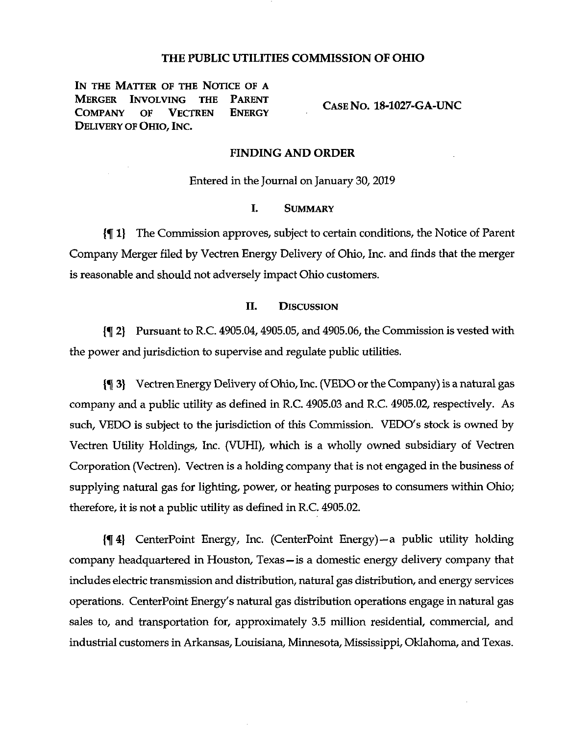## THE PUBLIC UTILITIES COMMISSION OF OHIO

IN THE MATTER OF THE NOTICE OF A<br>MERGER INVOLVING THE PARENT Involving the Parent<br>of Vectren Energy ) COMPANY Delivery of Ohio, Inc.

Case No. 18-1027-GA-UNC

## FINDING AND ORDER

Entered in the Journal on January 30,2019

#### I. Summary

{% 1| The Commission approves, subject to certain conditions, the Notice of Parent Company Merger filed by Vectren Energy Delivery of Ohio, Inc. and finds that the merger is reasonable and should not adversely impact Ohio customers.

# II. Discussion

2} Pursuant to R.C. 4905.04,4905.05, and 4905.06, the Commission is vested with the power and jurisdiction to supervise and regulate public utilities.

3) VectrenEnergy Delivery of Ohio,Inc. (VEDO ortheCompany)is a natural gas company and a public utility as defined in R.C. 4905.03 and R.C. 4905.02, respectively. As such, VEDO is subject to the jurisdiction of this Commission. VEDO's stock is owned by Vectren Utility Holdings, Inc. (VUHI), which is a wholly owned subsidiary of Vectren Corporation (Vectren). Vectren is a holding company that is not engaged in the business of supplying natural gas for lighting, power, or heating purposes to consumers within Ohio; therefore, it is not a public utility as defined in R.C. 4905.02.

{^4} CenterPoint Energy, Inc. (CenterPoint Energy)—a public utility holding company headquartered in Houston, Texas—is a domestic energy delivery company that includes electric transmission and distribution, natural gas distribution, and energy services operations. CenterPoint Energy's natural gas distribution operations engage in natural gas sales to, and transportation for, approximately 3.5 million residential, commercial, and industrial customers in Arkansas, Louisiana, Minnesota, Mississippi, Oklahoma, and Texas.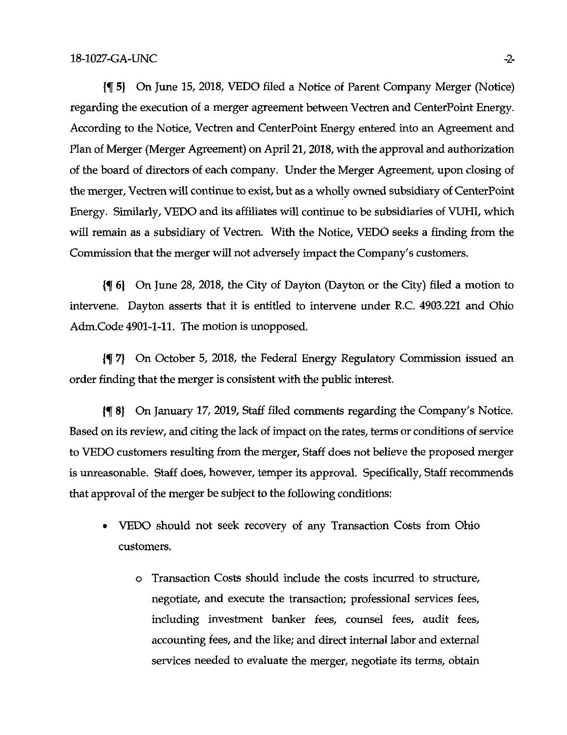1% 5) On June 15, 2018, VEDO filed a Notice of Parent Company Merger (Notice) regarding the execution of a merger agreement between Vectren and CenterPoint Energy. According to the Notice, Vectren and CenterPoint Energy entered into an Agreement and Plan of Merger (Merger Agreement) on April 21,2018, with the approval and authorization of the board of directors of each company. Under the Merger Agreement, upon closing of the merger, Vectren will continue to exist, but as a wholly owned subsidiary of CenterPoint Energy. Similarly, VEDO and its affiliates will continue to be subsidiaries of VUHI, which will remain as a subsidiary of Vectren. With the Notice, VEDO seeks a finding from the Commission that the merger will not adversely impact the Company's customers.

{f 6} On June 28, 2018, the City of Dayton (Dayton or the City) filed a motion to intervene. Dayton asserts that it is entitled to intervene under R.C. 4903.221 and Ohio Adm.Code 4901-1-11. The motion is unopposed.

{f 7} On October 5, 2018, the Federal Energy Regulatory Commission issued an order finding that the merger is consistent with the public interest.

{f 8} On January 17, 2019, Staff filed comments regarding the Company's Notice. Based on its review, and citing the lack of impact on the rates, terms or conditions of service to VEDO customers resulting from the merger. Staff does not believe the proposed merger is unreasonable. Staff does, however, temper its approval. Specifically, Staff recommends that approval of the merger be subject to the following conditions:

- VEDO should not seek recovery of any Transaction Costs from Ohio customers.
	- o Transaction Costs should include the costs incurred to structure, negotiate, and execute the transaction; professional services fees, including investment banker fees, counsel fees, audit fees, accounting fees, and the like; and direct internal labor and external services needed to evaluate the merger, negotiate its terms, obtain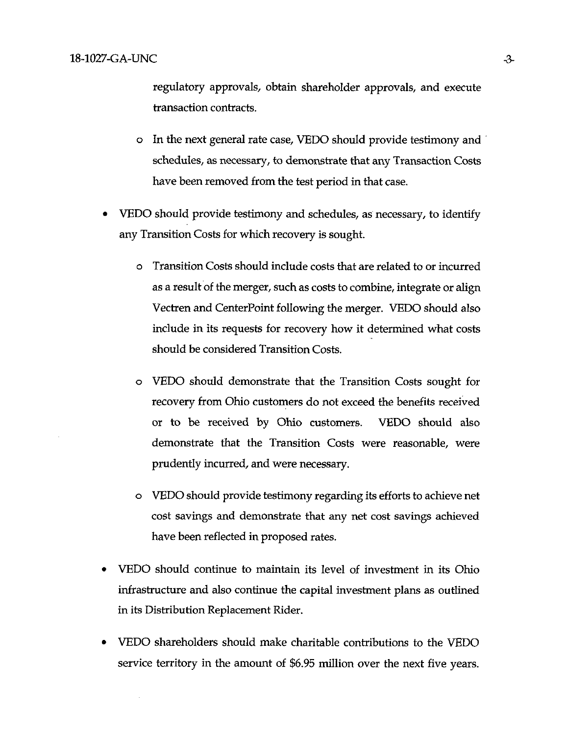regulatory approvals, obtain shareholder approvals, and execute transaction contracts.

- o In the next general rate case, VEDO should provide testimony and schedules, as necessary, to demonstrate that any Transaction Costs have been removed from the test period in that case.
- VEDO should provide testimony and schedules, as necessary, to identify any Transition Costs for which recovery is sought.
	- o Transition Costs should include costs that are related to or incurred as a result of the merger, such as costs to combine, integrate or align Vectren and CenterPoint following the merger. VEDO should also include in its requests for recovery how it determined what costs should be considered Transition Costs.
	- VEDO should demonstrate that the Transition Costs sought for recovery from Ohio customers do not exceed the benefits received or to be received by Ohio customers. VEDO should also demonstrate that the Transition Costs were reasonable, were prudently incurred, and were necessary.
	- o VEDO should provide testimony regarding its efforts to achieve net cost savings and demonstrate that any net cost savings achieved have been reflected in proposed rates.
- VEDO should continue to maintain its level of investment in its Ohio infrastructure and also continue the capital investment plans as outlined in its Distribution Replacement Rider.
- VEDO shareholders should make charitable contributions to the VEDO service territory in the amount of \$6.95 million over the next five years.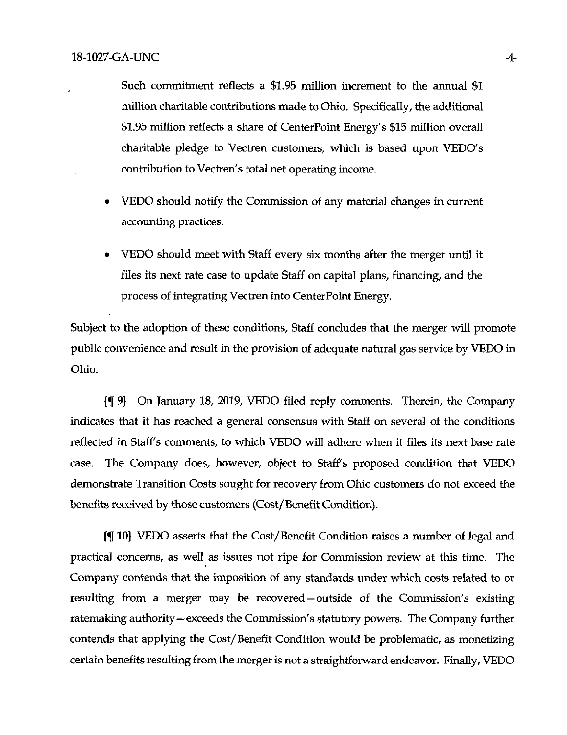Such commitment reflects a \$1.95 million increment to the annual \$1 million charitable contributions made to Ohio. Specifically, the additional \$1.95 million reflects a share of CenterPoint Energy's \$15 million overall charitable pledge to Vectren customers, which is based upon VEDO's contribution to Vectren's total net operating income.

- VEDO should notify the Commission of any material changes in current accounting practices.
- VEDO should meet with Staff every six months after the merger until it files its next rate case to update Staff on capital plans, financing, and the process of integrating Vectren into CenterPoint Energy.

Subject to the adoption of these conditions, Staff concludes that the merger will promote public convenience and result in the provision of adequate natural gas service by VEDO in Ohio.

{f 9} On January 18, 2019, VEDO filed reply comments. Therein, the Company indicates that it has reached a general consensus with Staff on several of the conditions reflected in Staff's comments, to which VEDO will adhere when it files its next base rate case. The Company does, however, object to Staff's proposed condition that VEDO demonstrate Transition Costs sought for recovery from Ohio customers do not exceed the benefits received by those customers (Cost/Benefit Condition).

10} VEDO asserts that the Cost/Benefit Condition raises a number of legal and practical concerns, as well as issues not ripe for Commission review at this time. The Company contends that the imposition of any standards under which costs related to or resulting from a merger may be recovered—outside of the Commission's existing ratemaking authority—exceeds the Commission's statutory powers. The Company further contends that applying the Cost/Benefit Condition would be problematic, as monetizing certain benefits resulting from the merger is not a straightforward endeavor. Finally, VEDO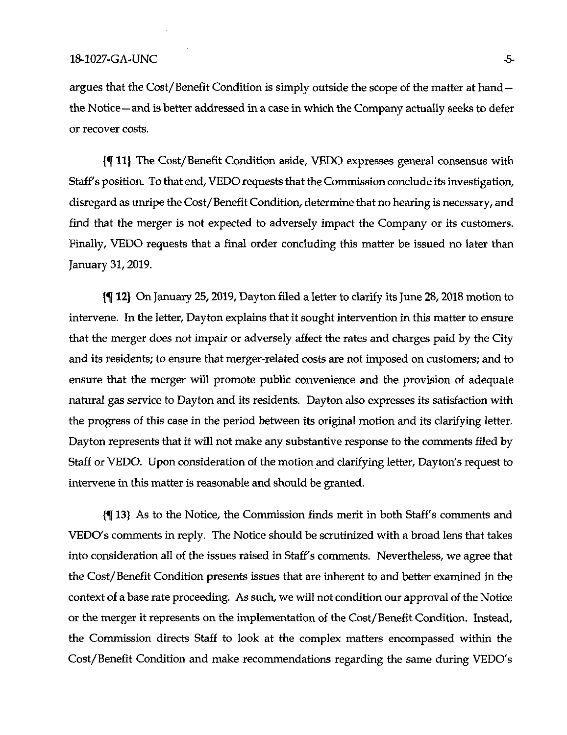argues that the Cost/Benefit Condition is simply outside the scope of the matter at hand the Notice—and is better addressed in a case in which the Company actually seeks to defer or recover costs.

11) The Cost/Benefit Condition aside, VEDO expresses general consensus with Staff's position. To that end, VEDO requests that the Commission conclude its investigation, disregard as unripe the Cost/Benefit Condition, determine that no hearing is necessary, and find that the merger is not expected to adversely impact the Company or its customers. Finally, VEDO requests that a final order concluding this matter be issued no later than January 31,2019.

 $\{\P\ 12\}$  On January 25, 2019, Dayton filed a letter to clarify its June 28, 2018 motion to intervene. In the letter, Dayton explains that it sought intervention in this matter to ensure that the merger does not impair or adversely affect the rates and charges paid by the City and its residents; to ensure that merger-related costs are not imposed on customers; and to ensure that the merger will promote public convenience and the provision of adequate natural gas service to Dayton and its residents. Dayton also expresses its satisfaction with the progress of this case in the period between its original motion and its clarifying letter. Dayton represents that it will not make any substantive response to the comments filed by Staff or VEDO. Upon consideration of the motion and clarifying letter, Dayton's request to intervene in this matter is reasonable and should be granted.

{f 13} As to the Notice, the Commission finds merit in both Staff's comments and VEDO's comments in reply. The Notice should be scrutinized with a broad lens that takes into consideration all of the issues raised in Staff's comments. Nevertheless, we agree that the Cost/Benefit Condition presents issues that are inherent to and better examined in the context of a base rate proceeding. As such, we will not condition our approval of the Notice or the merger it represents on the implementation of the Cost/Benefit Condition. Instead, the Commission directs Staff to look at the complex matters encompassed within the Cost/Benefit Condition and make recommendations regarding the same during VEDO's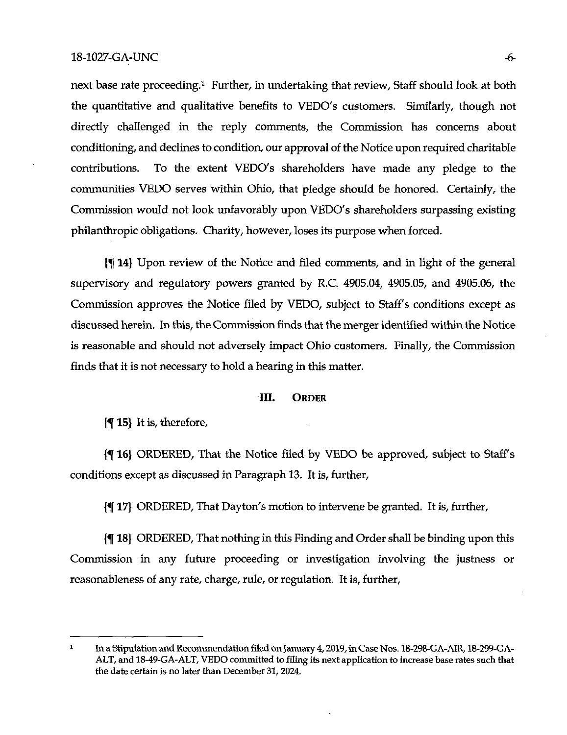next base rate proceeding.<sup>1</sup> Further, in undertaking that review, Staff should look at both the quantitative and qualitative benefits to VEDO's customers. Similarly, though not directly challenged in the reply comments, the Commission has concerns about conditioning, and declines to condition, our approval of the Notice upon required charitable contributions. To the extent VEDO's shareholders have made any pledge to the communities VEDO serves within Ohio, that pledge should be honored. Certainly, the Commission would not look unfavorably upon VEDO's shareholders surpassing existing philanthropic obligations. Charity, however, loses its purpose when forced.

14} Upon review of die Notice and filed comments, and in light of the general supervisory and regulatory powers granted by R.C. 4905.04, 4905.05, and 4905.06, the Commission approves the Notice filed by VEDO, subject to Staff's conditions except as discussed herein. In this, the Commission finds that the merger identified within the Notice is reasonable and should not adversely impact Ohio customers. Finally, the Commission finds that it is not necessary to hold a hearing in this matter.

### III. Order

 $\{\P 15\}$  It is, therefore,

16} ORDERED, That the Notice filed by VEDO be approved, subject to Staffs conditions except as discussed in Paragraph 13. It is, further,

{f 17} ORDERED, That Dayton's motion to intervene be granted. It is, further,

{f 18) ORDERED, That nothing in this Finding and Ordershall be binding upon this Commission in any future proceeding or investigation involving the justness or reasonableness of any rate, charge, rule, or regulation. It is, further.

 $\mathbf{1}$ In a Stipulation and Recommendation filed on January 4, 2019, in Case Nos. 18-298-GA-AIR, 18-299-GA-ALT, and 18-49-GA-ALT, VEDO committed to filing its next application to increase base rates such that the date certain is no later than December 31, 2024.